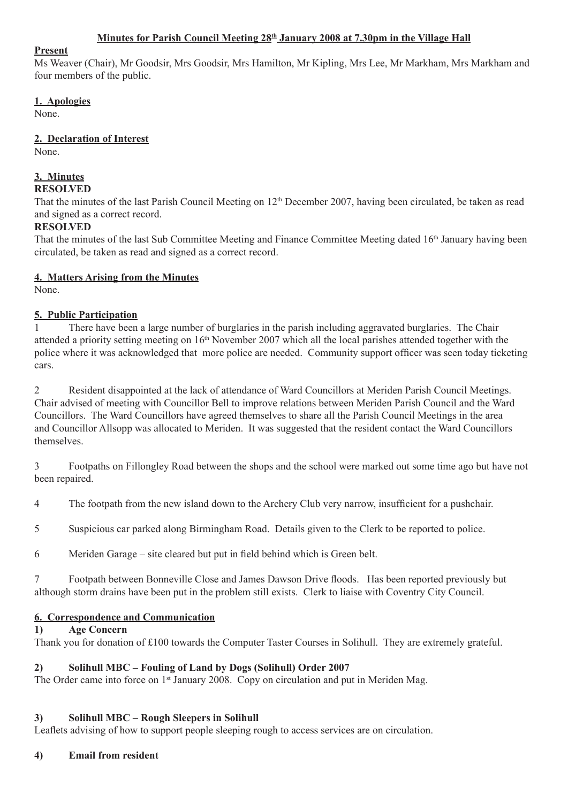### **Minutes for Parish Council Meeting 28th January 2008 at 7.30pm in the Village Hall**

#### **Present**

Ms Weaver (Chair), Mr Goodsir, Mrs Goodsir, Mrs Hamilton, Mr Kipling, Mrs Lee, Mr Markham, Mrs Markham and four members of the public.

### **1. Apologies**

None.

### **2. Declaration of Interest**

None.

#### **3. Minutes RESOLVED**

That the minutes of the last Parish Council Meeting on 12<sup>th</sup> December 2007, having been circulated, be taken as read and signed as a correct record.

## **RESOLVED**

That the minutes of the last Sub Committee Meeting and Finance Committee Meeting dated 16<sup>th</sup> January having been circulated, be taken as read and signed as a correct record.

### **4. Matters Arising from the Minutes**

None.

## **5. Public Participation**

1 There have been a large number of burglaries in the parish including aggravated burglaries. The Chair attended a priority setting meeting on 16th November 2007 which all the local parishes attended together with the police where it was acknowledged that more police are needed. Community support officer was seen today ticketing cars.

2 Resident disappointed at the lack of attendance of Ward Councillors at Meriden Parish Council Meetings. Chair advised of meeting with Councillor Bell to improve relations between Meriden Parish Council and the Ward Councillors. The Ward Councillors have agreed themselves to share all the Parish Council Meetings in the area and Councillor Allsopp was allocated to Meriden. It was suggested that the resident contact the Ward Councillors themselves.

3 Footpaths on Fillongley Road between the shops and the school were marked out some time ago but have not been repaired.

4 The footpath from the new island down to the Archery Club very narrow, insufficient for a pushchair.

5 Suspicious car parked along Birmingham Road. Details given to the Clerk to be reported to police.

6 Meriden Garage – site cleared but put in field behind which is Green belt.

7 Footpath between Bonneville Close and James Dawson Drive floods. Has been reported previously but although storm drains have been put in the problem still exists. Clerk to liaise with Coventry City Council.

## **6. Correspondence and Communication**

### **1) Age Concern**

Thank you for donation of £100 towards the Computer Taster Courses in Solihull. They are extremely grateful.

## **2) Solihull MBC – Fouling of Land by Dogs (Solihull) Order 2007**

The Order came into force on  $1<sup>st</sup>$  January 2008. Copy on circulation and put in Meriden Mag.

### **3) Solihull MBC – Rough Sleepers in Solihull**

Leaflets advising of how to support people sleeping rough to access services are on circulation.

### **4) Email from resident**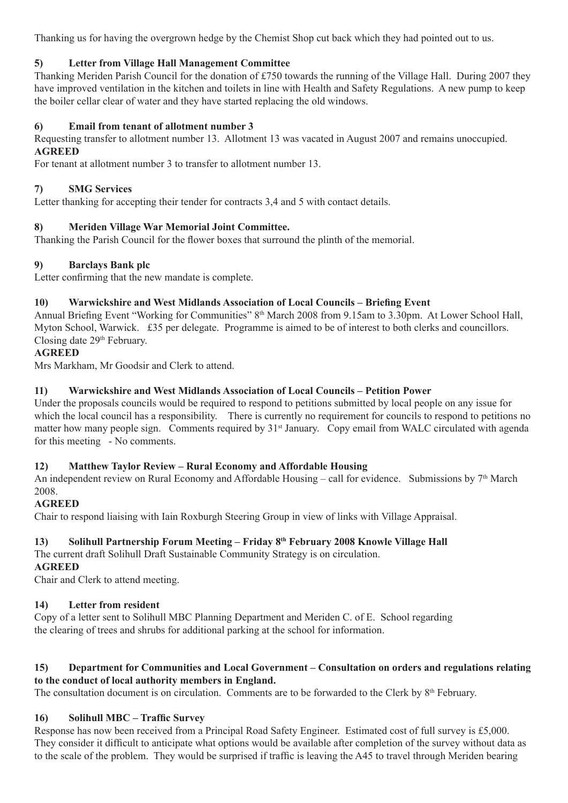Thanking us for having the overgrown hedge by the Chemist Shop cut back which they had pointed out to us.

## **5) Letter from Village Hall Management Committee**

Thanking Meriden Parish Council for the donation of £750 towards the running of the Village Hall. During 2007 they have improved ventilation in the kitchen and toilets in line with Health and Safety Regulations. A new pump to keep the boiler cellar clear of water and they have started replacing the old windows.

## **6) Email from tenant of allotment number 3**

Requesting transfer to allotment number 13. Allotment 13 was vacated in August 2007 and remains unoccupied. **AGREED**

For tenant at allotment number 3 to transfer to allotment number 13.

## **7) SMG Services**

Letter thanking for accepting their tender for contracts 3,4 and 5 with contact details.

### **8) Meriden Village War Memorial Joint Committee.**

Thanking the Parish Council for the flower boxes that surround the plinth of the memorial.

### **9) Barclays Bank plc**

Letter confirming that the new mandate is complete.

### **10) Warwickshire and West Midlands Association of Local Councils – Briefing Event**

Annual Briefing Event "Working for Communities" 8th March 2008 from 9.15am to 3.30pm. At Lower School Hall, Myton School, Warwick. £35 per delegate. Programme is aimed to be of interest to both clerks and councillors. Closing date 29<sup>th</sup> February.

### **AGREED**

Mrs Markham, Mr Goodsir and Clerk to attend.

### **11) Warwickshire and West Midlands Association of Local Councils – Petition Power**

Under the proposals councils would be required to respond to petitions submitted by local people on any issue for which the local council has a responsibility. There is currently no requirement for councils to respond to petitions no matter how many people sign. Comments required by 31<sup>st</sup> January. Copy email from WALC circulated with agenda for this meeting - No comments.

### **12) Matthew Taylor Review – Rural Economy and Affordable Housing**

An independent review on Rural Economy and Affordable Housing – call for evidence. Submissions by  $7<sup>th</sup>$  March 2008.

### **AGREED**

Chair to respond liaising with Iain Roxburgh Steering Group in view of links with Village Appraisal.

## **13) Solihull Partnership Forum Meeting – Friday 8th February 2008 Knowle Village Hall**

The current draft Solihull Draft Sustainable Community Strategy is on circulation.

### **AGREED**

Chair and Clerk to attend meeting.

### **14) Letter from resident**

Copy of a letter sent to Solihull MBC Planning Department and Meriden C. of E. School regarding the clearing of trees and shrubs for additional parking at the school for information.

### **15) Department for Communities and Local Government – Consultation on orders and regulations relating to the conduct of local authority members in England.**

The consultation document is on circulation. Comments are to be forwarded to the Clerk by 8<sup>th</sup> February.

## **16) Solihull MBC – Traffic Survey**

Response has now been received from a Principal Road Safety Engineer. Estimated cost of full survey is £5,000. They consider it difficult to anticipate what options would be available after completion of the survey without data as to the scale of the problem. They would be surprised if traffic is leaving the A45 to travel through Meriden bearing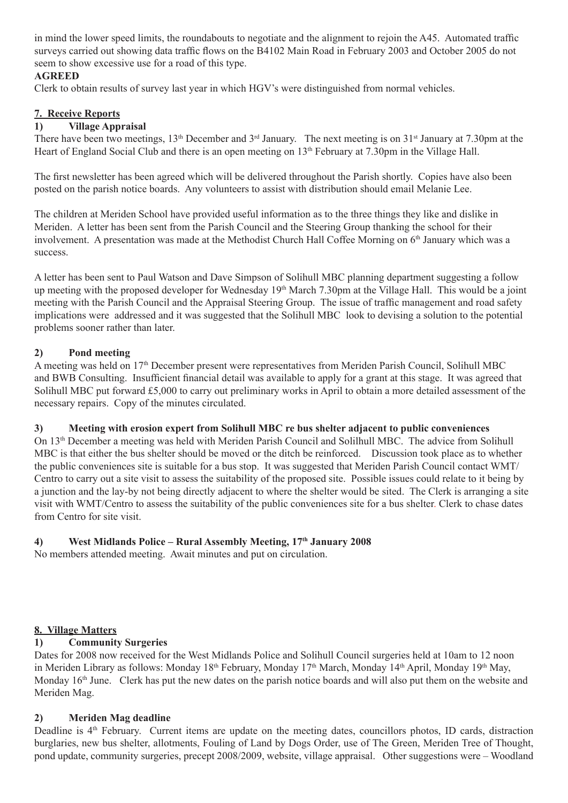in mind the lower speed limits, the roundabouts to negotiate and the alignment to rejoin the A45. Automated traffic surveys carried out showing data traffic flows on the B4102 Main Road in February 2003 and October 2005 do not seem to show excessive use for a road of this type.

### **AGREED**

Clerk to obtain results of survey last year in which HGV's were distinguished from normal vehicles.

### **7. Receive Reports**

### **1) Village Appraisal**

There have been two meetings, 13<sup>th</sup> December and 3<sup>rd</sup> January. The next meeting is on 31<sup>st</sup> January at 7.30pm at the Heart of England Social Club and there is an open meeting on 13<sup>th</sup> February at 7.30pm in the Village Hall.

The first newsletter has been agreed which will be delivered throughout the Parish shortly. Copies have also been posted on the parish notice boards. Any volunteers to assist with distribution should email Melanie Lee.

The children at Meriden School have provided useful information as to the three things they like and dislike in Meriden. A letter has been sent from the Parish Council and the Steering Group thanking the school for their involvement. A presentation was made at the Methodist Church Hall Coffee Morning on 6<sup>th</sup> January which was a success.

A letter has been sent to Paul Watson and Dave Simpson of Solihull MBC planning department suggesting a follow up meeting with the proposed developer for Wednesday 19<sup>th</sup> March 7.30pm at the Village Hall. This would be a joint meeting with the Parish Council and the Appraisal Steering Group. The issue of traffic management and road safety implications were addressed and it was suggested that the Solihull MBC look to devising a solution to the potential problems sooner rather than later.

### **2) Pond meeting**

A meeting was held on 17<sup>th</sup> December present were representatives from Meriden Parish Council, Solihull MBC and BWB Consulting. Insufficient financial detail was available to apply for a grant at this stage. It was agreed that Solihull MBC put forward £5,000 to carry out preliminary works in April to obtain a more detailed assessment of the necessary repairs. Copy of the minutes circulated.

### **3) Meeting with erosion expert from Solihull MBC re bus shelter adjacent to public conveniences**

On 13th December a meeting was held with Meriden Parish Council and Solilhull MBC. The advice from Solihull MBC is that either the bus shelter should be moved or the ditch be reinforced. Discussion took place as to whether the public conveniences site is suitable for a bus stop. It was suggested that Meriden Parish Council contact WMT/ Centro to carry out a site visit to assess the suitability of the proposed site. Possible issues could relate to it being by a junction and the lay-by not being directly adjacent to where the shelter would be sited. The Clerk is arranging a site visit with WMT/Centro to assess the suitability of the public conveniences site for a bus shelter. Clerk to chase dates from Centro for site visit.

## **4) West Midlands Police – Rural Assembly Meeting, 17th January 2008**

No members attended meeting. Await minutes and put on circulation.

### **8. Village Matters**

## **1) Community Surgeries**

Dates for 2008 now received for the West Midlands Police and Solihull Council surgeries held at 10am to 12 noon in Meriden Library as follows: Monday 18<sup>th</sup> February, Monday 17<sup>th</sup> March, Monday 14<sup>th</sup> April, Monday 19<sup>th</sup> May, Monday 16<sup>th</sup> June. Clerk has put the new dates on the parish notice boards and will also put them on the website and Meriden Mag.

### **2) Meriden Mag deadline**

Deadline is 4<sup>th</sup> February. Current items are update on the meeting dates, councillors photos, ID cards, distraction burglaries, new bus shelter, allotments, Fouling of Land by Dogs Order, use of The Green, Meriden Tree of Thought, pond update, community surgeries, precept 2008/2009, website, village appraisal. Other suggestions were – Woodland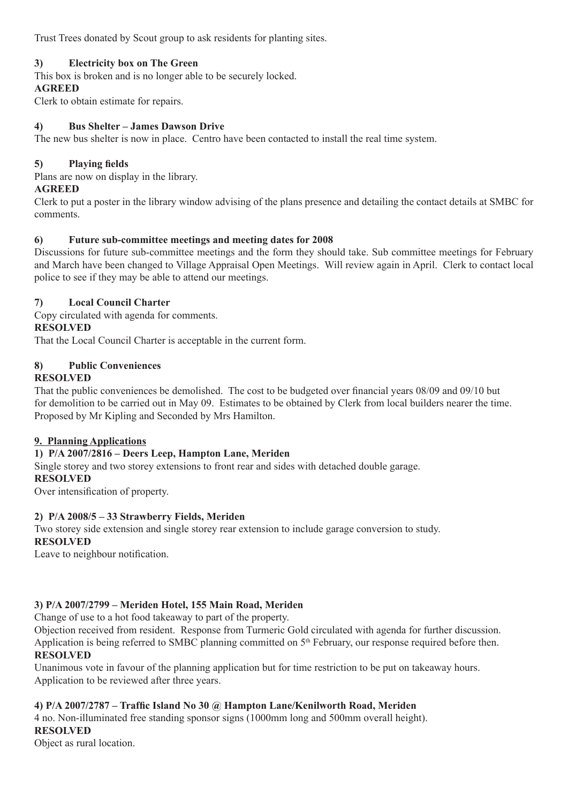Trust Trees donated by Scout group to ask residents for planting sites.

### **3) Electricity box on The Green**

This box is broken and is no longer able to be securely locked.

### **AGREED**

Clerk to obtain estimate for repairs.

### **4) Bus Shelter – James Dawson Drive**

The new bus shelter is now in place. Centro have been contacted to install the real time system.

## **5) Playing fields**

Plans are now on display in the library.

### **AGREED**

Clerk to put a poster in the library window advising of the plans presence and detailing the contact details at SMBC for comments.

## **6) Future sub-committee meetings and meeting dates for 2008**

Discussions for future sub-committee meetings and the form they should take. Sub committee meetings for February and March have been changed to Village Appraisal Open Meetings. Will review again in April. Clerk to contact local police to see if they may be able to attend our meetings.

### **7) Local Council Charter**

Copy circulated with agenda for comments.

### **RESOLVED**

That the Local Council Charter is acceptable in the current form.

#### **8) Public Conveniences RESOLVED**

That the public conveniences be demolished. The cost to be budgeted over financial years 08/09 and 09/10 but for demolition to be carried out in May 09. Estimates to be obtained by Clerk from local builders nearer the time. Proposed by Mr Kipling and Seconded by Mrs Hamilton.

## **9. Planning Applications**

## **1) P/A 2007/2816 – Deers Leep, Hampton Lane, Meriden**

Single storey and two storey extensions to front rear and sides with detached double garage. **RESOLVED** 

Over intensification of property.

## **2) P/A 2008/5 – 33 Strawberry Fields, Meriden**

Two storey side extension and single storey rear extension to include garage conversion to study.

## **RESOLVED**

Leave to neighbour notification.

## **3) P/A 2007/2799 – Meriden Hotel, 155 Main Road, Meriden**

Change of use to a hot food takeaway to part of the property.

Objection received from resident. Response from Turmeric Gold circulated with agenda for further discussion. Application is being referred to SMBC planning committed on  $5<sup>th</sup>$  February, our response required before then. **RESOLVED**

Unanimous vote in favour of the planning application but for time restriction to be put on takeaway hours. Application to be reviewed after three years.

## **4) P/A 2007/2787 – Traffic Island No 30 @ Hampton Lane/Kenilworth Road, Meriden**

4 no. Non-illuminated free standing sponsor signs (1000mm long and 500mm overall height). **RESOLVED** 

Object as rural location.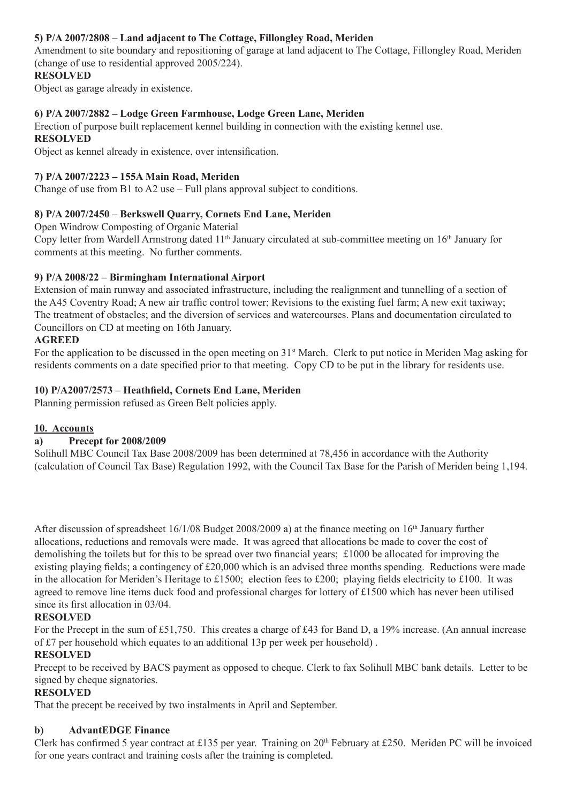## **5) P/A 2007/2808 – Land adjacent to The Cottage, Fillongley Road, Meriden**

Amendment to site boundary and repositioning of garage at land adjacent to The Cottage, Fillongley Road, Meriden (change of use to residential approved 2005/224).

### **RESOLVED**

Object as garage already in existence.

## **6) P/A 2007/2882 – Lodge Green Farmhouse, Lodge Green Lane, Meriden**

Erection of purpose built replacement kennel building in connection with the existing kennel use.

## **RESOLVED**

Object as kennel already in existence, over intensification.

### **7) P/A 2007/2223 – 155A Main Road, Meriden**

Change of use from B1 to A2 use – Full plans approval subject to conditions.

### **8) P/A 2007/2450 – Berkswell Quarry, Cornets End Lane, Meriden**

Open Windrow Composting of Organic Material

Copy letter from Wardell Armstrong dated 11<sup>th</sup> January circulated at sub-committee meeting on 16<sup>th</sup> January for comments at this meeting. No further comments.

### **9) P/A 2008/22 – Birmingham International Airport**

Extension of main runway and associated infrastructure, including the realignment and tunnelling of a section of the A45 Coventry Road; A new air traffic control tower; Revisions to the existing fuel farm; A new exit taxiway; The treatment of obstacles; and the diversion of services and watercourses. Plans and documentation circulated to Councillors on CD at meeting on 16th January.

### **AGREED**

For the application to be discussed in the open meeting on  $31<sup>st</sup>$  March. Clerk to put notice in Meriden Mag asking for residents comments on a date specified prior to that meeting. Copy CD to be put in the library for residents use.

### **10) P/A2007/2573 – Heathfield, Cornets End Lane, Meriden**

Planning permission refused as Green Belt policies apply.

### **10. Accounts**

### **a) Precept for 2008/2009**

Solihull MBC Council Tax Base 2008/2009 has been determined at 78,456 in accordance with the Authority (calculation of Council Tax Base) Regulation 1992, with the Council Tax Base for the Parish of Meriden being 1,194.

After discussion of spreadsheet  $16/1/08$  Budget 2008/2009 a) at the finance meeting on  $16<sup>th</sup>$  January further allocations, reductions and removals were made. It was agreed that allocations be made to cover the cost of demolishing the toilets but for this to be spread over two financial years; £1000 be allocated for improving the existing playing fields; a contingency of £20,000 which is an advised three months spending. Reductions were made in the allocation for Meriden's Heritage to £1500; election fees to £200; playing fields electricity to £100. It was agreed to remove line items duck food and professional charges for lottery of £1500 which has never been utilised since its first allocation in 03/04.

### **RESOLVED**

For the Precept in the sum of £51,750. This creates a charge of £43 for Band D, a 19% increase. (An annual increase of £7 per household which equates to an additional 13p per week per household) .

### **RESOLVED**

Precept to be received by BACS payment as opposed to cheque. Clerk to fax Solihull MBC bank details. Letter to be signed by cheque signatories.

### **RESOLVED**

That the precept be received by two instalments in April and September.

### **b) AdvantEDGE Finance**

Clerk has confirmed 5 year contract at £135 per year. Training on  $20<sup>th</sup>$  February at £250. Meriden PC will be invoiced for one years contract and training costs after the training is completed.